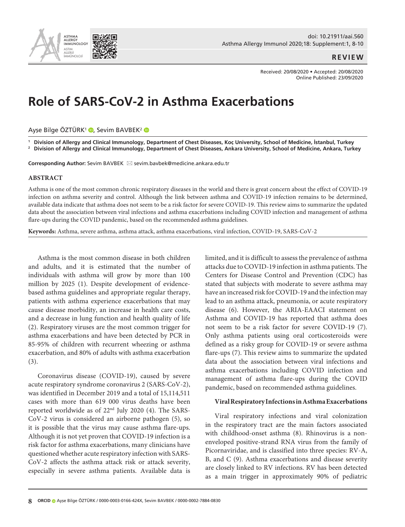

#### **REVIEW**

Received: 20/08/2020 • Accepted: 20/08/2020 Online Published: 23/09/2020

# **Role of SARS-CoV-2 in Asthma Exacerbations**

Ayşe Bilge ÖZTÜRK<sup>1</sup> (D[,](https://orcid.org/0000-0003-0166-424X) Sevim BAVBEK<sup>2</sup> (D

**1** Division of Allergy and Clinical Immunology, Department of Chest Diseases, Koc University, School of Medicine, İstanbul, Turkey

**2** Division of Allergy and Clinical Immunology, Department of Chest Diseases, Ankara University, School of Medicine, Ankara, Turkey

**Corresponding Author:** Sevim BAVBEK ⊠ sevim.bavbek@medicine.ankara.edu.tr

#### **ABSTRACT**

Asthma is one of the most common chronic respiratory diseases in the world and there is great concern about the effect of COVID-19 infection on asthma severity and control. Although the link between asthma and COVID-19 infection remains to be determined, available data indicate that asthma does not seem to be a risk factor for severe COVID-19. This review aims to summarize the updated data about the association between viral infections and asthma exacerbations including COVID infection and management of asthma flare-ups during the COVID pandemic, based on the recommended asthma guidelines.

**Keywords:** Asthma, severe asthma, asthma attack, asthma exacerbations, viral infection, COVID-19, SARS-CoV-2

Asthma is the most common disease in both children and adults, and it is estimated that the number of individuals with asthma will grow by more than 100 million by 2025 (1). Despite development of evidencebased asthma guidelines and appropriate regular therapy, patients with asthma experience exacerbations that may cause disease morbidity, an increase in health care costs, and a decrease in lung function and health quality of life (2). Respiratory viruses are the most common trigger for asthma exacerbations and have been detected by PCR in 85-95% of children with recurrent wheezing or asthma exacerbation, and 80% of adults with asthma exacerbation (3).

Coronavirus disease (COVID-19), caused by severe acute respiratory syndrome coronavirus 2 (SARS-CoV-2), was identified in December 2019 and a total of 15,114,511 cases with more than 619 000 virus deaths have been reported worldwide as of 22nd July 2020 (4). The SARS-CoV-2 virus is considered an airborne pathogen (5), so it is possible that the virus may cause asthma flare-ups. Although it is not yet proven that COVID-19 infection is a risk factor for asthma exacerbations, many clinicians have questioned whether acute respiratory infection with SARS-CoV-2 affects the asthma attack risk or attack severity, especially in severe asthma patients. Available data is limited, and it is difficult to assess the prevalence of asthma attacks due to COVID-19 infection in asthma patients. The Centers for Disease Control and Prevention (CDC) has stated that subjects with moderate to severe asthma may have an increased risk for COVID-19 and the infection may lead to an asthma attack, pneumonia, or acute respiratory disease (6). However, the ARIA-EAACI statement on Asthma and COVID-19 has reported that asthma does not seem to be a risk factor for severe COVID-19 (7). Only asthma patients using oral corticosteroids were defined as a risky group for COVID-19 or severe asthma flare-ups (7). This review aims to summarize the updated data about the association between viral infections and asthma exacerbations including COVID infection and management of asthma flare-ups during the COVID pandemic, based on recommended asthma guidelines.

## **Viral Respiratory Infections in Asthma Exacerbations**

Viral respiratory infections and viral colonization in the respiratory tract are the main factors associated with childhood-onset asthma (8). Rhinovirus is a nonenveloped positive-strand RNA virus from the family of Picornaviridae, and is classified into three species: RV-A, B, and C (9). Asthma exacerbations and disease severity are closely linked to RV infections. RV has been detected as a main trigger in approximately 90% of pediatric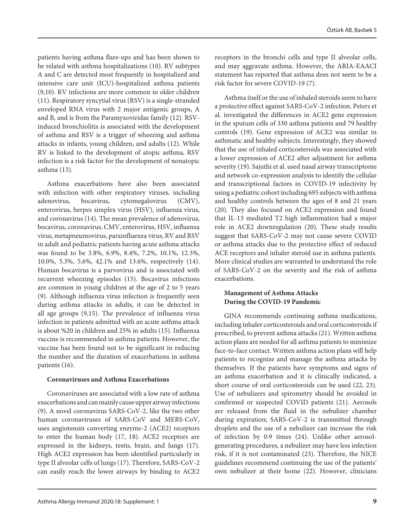patients having asthma flare-ups and has been shown to be related with asthma hospitalizations (10). RV subtypes A and C are detected most frequently in hospitalized and intensive care unit (ICU)-hospitalized asthma patients (9,10). RV infections are more common in older children (11). Respiratory syncytial virus (RSV) is a single-stranded enveloped RNA virus with 2 major antigenic groups, A and B, and is from the Paramyxoviridae family (12). RSVinduced bronchiolitis is associated with the development of asthma and RSV is a trigger of wheezing and asthma attacks in infants, young children, and adults (12). While RV is linked to the development of atopic asthma, RSV infection is a risk factor for the development of nonatopic asthma (13).

Asthma exacerbations have also been associated with infection with other respiratory viruses, including adenovirus, bocavirus, cytomegalovirus (CMV), enterovirus, herpes simplex virus (HSV), influenza virus, and coronavirus (14). The mean prevalence of adenovirus, bocavirus, coronavirus, CMV, enterovirus, HSV, influenza virus, metapneumovirus, parainfluenza virus, RV and RSV in adult and pediatric patients having acute asthma attacks was found to be 3.8%, 6.9%, 8.4%, 7.2%, 10.1%, 12.3%, 10.0%, 5.3%, 5.6%, 42.1% and 13.6%, respectively (14). Human bocavirus is a parvovirus and is associated with recurrent wheezing episodes (15). Bocavirus infections are common in young children at the age of 2 to 5 years (9). Although influenza virus infection is frequently seen during asthma attacks in adults, it can be detected in all age groups (9,15). The prevalence of influenza virus infection in patients admitted with an acute asthma attack is about %20 in children and 25% in adults (15). Influenza vaccine is recommended in asthma patients. However, the vaccine has been found not to be significant in reducing the number and the duration of exacerbations in asthma patients (16).

## **Coronaviruses and Asthma Exacerbations**

Coronaviruses are associated with a low rate of asthma exacerbations and can mainly cause upper airway infections (9). A novel coronavirus SARS-CoV-2, like the two other human coronaviruses of SARS-CoV and MERS-CoV, uses angiotensin converting enzyme-2 (ACE2) receptors to enter the human body (17, 18). ACE2 receptors are expressed in the kidneys, testis, brain, and lungs (17). High ACE2 expression has been identified particularly in type II alveolar cells of lungs (17). Therefore, SARS-CoV-2 can easily reach the lower airways by binding to ACE2

receptors in the bronchi cells and type II alveolar cells, and may aggravate asthma. However, the ARIA-EAACI statement has reported that asthma does not seem to be a risk factor for severe COVID-19 (7).

Asthma itself or the use of inhaled steroids seem to have a protective effect against SARS-CoV-2 infection. Peters et al. investigated the differences in ACE2 gene expression in the sputum cells of 330 asthma patients and 79 healthy controls (19). Gene expression of ACE2 was similar in asthmatic and healthy subjects. Interestingly, they showed that the use of inhaled corticosteroids was associated with a lower expression of ACE2 after adjustment for asthma severity (19). Sajuthi et al. used nasal airway transcriptome and network co-expression analysis to identify the cellular and transcriptional factors in COVID-19 infectivity by using a pediatric cohort including 695 subjects with asthma and healthy controls between the ages of 8 and 21 years (20). They also focused on ACE2 expression and found that IL-13 mediated T2 high inflammation had a major role in ACE2 downregulation (20). These study results suggest that SARS-CoV-2 may not cause severe COVID or asthma attacks due to the protective effect of reduced ACE receptors and inhaler steroid use in asthma patients. More clinical studies are warranted to understand the role of SARS-CoV-2 on the severity and the risk of asthma exacerbations.

# **Management of Asthma Attacks During the COVID-19 Pandemic**

GINA recommends continuing asthma medications, including inhaler corticosteroids and oral corticosteroids if prescribed, to prevent asthma attacks (21). Written asthma action plans are needed for all asthma patients to minimize face-to-face contact. Written asthma action plans will help patients to recognize and manage the asthma attacks by themselves. If the patients have symptoms and signs of an asthma exacerbation and it is clinically indicated, a short course of oral corticosteroids can be used (22, 23). Use of nebulizers and spirometry should be avoided in confirmed or suspected COVID patients (21). Aerosols are released from the fluid in the nebulizer chamber during expiration; SARS-CoV-2 is transmitted through droplets and the use of a nebulizer can increase the risk of infection by 0·9 times (24). Unlike other aerosolgenerating procedures, a nebulizer may have less infection risk, if it is not contaminated (23). Therefore, the NICE guidelines recommend continuing the use of the patients' own nebulizer at their home (22). However, clinicians